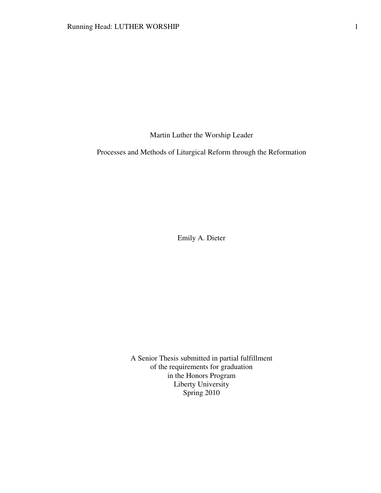Martin Luther the Worship Leader

Processes and Methods of Liturgical Reform through the Reformation

Emily A. Dieter

A Senior Thesis submitted in partial fulfillment of the requirements for graduation in the Honors Program Liberty University Spring 2010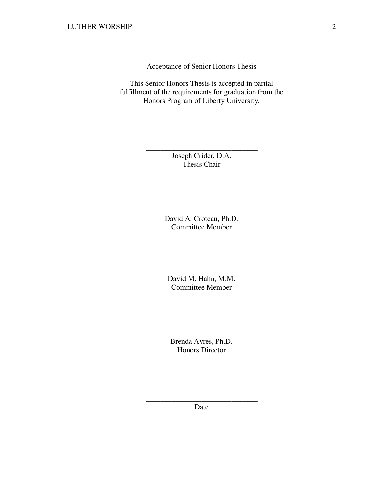Acceptance of Senior Honors Thesis

This Senior Honors Thesis is accepted in partial fulfillment of the requirements for graduation from the Honors Program of Liberty University.

> Joseph Crider, D.A. Thesis Chair

\_\_\_\_\_\_\_\_\_\_\_\_\_\_\_\_\_\_\_\_\_\_\_\_\_\_\_\_\_\_

David A. Croteau, Ph.D. Committee Member

\_\_\_\_\_\_\_\_\_\_\_\_\_\_\_\_\_\_\_\_\_\_\_\_\_\_\_\_\_\_

David M. Hahn, M.M. Committee Member

\_\_\_\_\_\_\_\_\_\_\_\_\_\_\_\_\_\_\_\_\_\_\_\_\_\_\_\_\_\_

Brenda Ayres, Ph.D. Honors Director

\_\_\_\_\_\_\_\_\_\_\_\_\_\_\_\_\_\_\_\_\_\_\_\_\_\_\_\_\_\_

\_\_\_\_\_\_\_\_\_\_\_\_\_\_\_\_\_\_\_\_\_\_\_\_\_\_\_\_\_\_ Date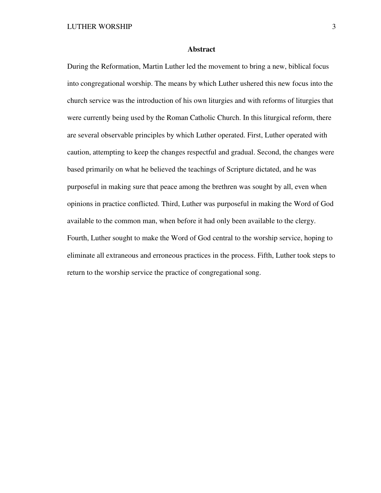## **Abstract**

During the Reformation, Martin Luther led the movement to bring a new, biblical focus into congregational worship. The means by which Luther ushered this new focus into the church service was the introduction of his own liturgies and with reforms of liturgies that were currently being used by the Roman Catholic Church. In this liturgical reform, there are several observable principles by which Luther operated. First, Luther operated with caution, attempting to keep the changes respectful and gradual. Second, the changes were based primarily on what he believed the teachings of Scripture dictated, and he was purposeful in making sure that peace among the brethren was sought by all, even when opinions in practice conflicted. Third, Luther was purposeful in making the Word of God available to the common man, when before it had only been available to the clergy. Fourth, Luther sought to make the Word of God central to the worship service, hoping to eliminate all extraneous and erroneous practices in the process. Fifth, Luther took steps to return to the worship service the practice of congregational song.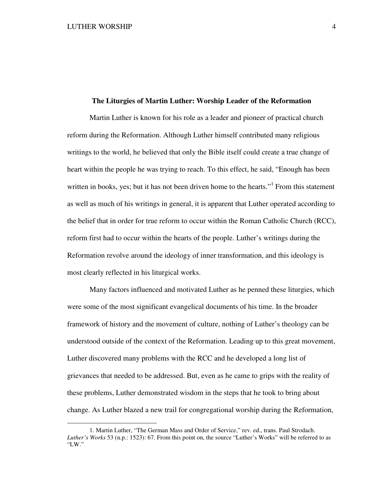$\overline{a}$ 

## **The Liturgies of Martin Luther: Worship Leader of the Reformation**

Martin Luther is known for his role as a leader and pioneer of practical church reform during the Reformation. Although Luther himself contributed many religious writings to the world, he believed that only the Bible itself could create a true change of heart within the people he was trying to reach. To this effect, he said, "Enough has been written in books, yes; but it has not been driven home to the hearts."<sup>1</sup> From this statement as well as much of his writings in general, it is apparent that Luther operated according to the belief that in order for true reform to occur within the Roman Catholic Church (RCC), reform first had to occur within the hearts of the people. Luther's writings during the Reformation revolve around the ideology of inner transformation, and this ideology is most clearly reflected in his liturgical works.

Many factors influenced and motivated Luther as he penned these liturgies, which were some of the most significant evangelical documents of his time. In the broader framework of history and the movement of culture, nothing of Luther's theology can be understood outside of the context of the Reformation. Leading up to this great movement, Luther discovered many problems with the RCC and he developed a long list of grievances that needed to be addressed. But, even as he came to grips with the reality of these problems, Luther demonstrated wisdom in the steps that he took to bring about change. As Luther blazed a new trail for congregational worship during the Reformation,

<sup>1.</sup> Martin Luther, "The German Mass and Order of Service," rev. ed., trans. Paul Strodach. *Luther's Works* 53 (n.p.: 1523): 67. From this point on, the source "Luther's Works" will be referred to as "LW."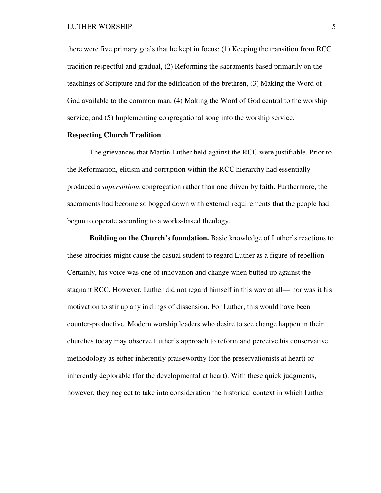there were five primary goals that he kept in focus: (1) Keeping the transition from RCC tradition respectful and gradual, (2) Reforming the sacraments based primarily on the teachings of Scripture and for the edification of the brethren, (3) Making the Word of God available to the common man, (4) Making the Word of God central to the worship service, and (5) Implementing congregational song into the worship service.

# **Respecting Church Tradition**

The grievances that Martin Luther held against the RCC were justifiable. Prior to the Reformation, elitism and corruption within the RCC hierarchy had essentially produced a *superstitious* congregation rather than one driven by faith. Furthermore, the sacraments had become so bogged down with external requirements that the people had begun to operate according to a works-based theology.

**Building on the Church's foundation.** Basic knowledge of Luther's reactions to these atrocities might cause the casual student to regard Luther as a figure of rebellion. Certainly, his voice was one of innovation and change when butted up against the stagnant RCC. However, Luther did not regard himself in this way at all— nor was it his motivation to stir up any inklings of dissension. For Luther, this would have been counter-productive. Modern worship leaders who desire to see change happen in their churches today may observe Luther's approach to reform and perceive his conservative methodology as either inherently praiseworthy (for the preservationists at heart) or inherently deplorable (for the developmental at heart). With these quick judgments, however, they neglect to take into consideration the historical context in which Luther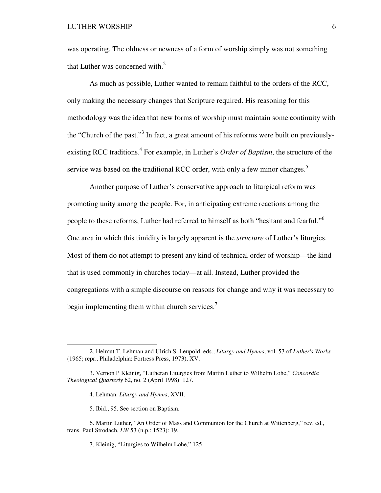was operating. The oldness or newness of a form of worship simply was not something that Luther was concerned with. $2<sup>2</sup>$ 

As much as possible, Luther wanted to remain faithful to the orders of the RCC, only making the necessary changes that Scripture required. His reasoning for this methodology was the idea that new forms of worship must maintain some continuity with the "Church of the past."<sup>3</sup> In fact, a great amount of his reforms were built on previouslyexisting RCC traditions.<sup>4</sup> For example, in Luther's *Order of Baptism*, the structure of the service was based on the traditional RCC order, with only a few minor changes.<sup>5</sup>

Another purpose of Luther's conservative approach to liturgical reform was promoting unity among the people. For, in anticipating extreme reactions among the people to these reforms, Luther had referred to himself as both "hesitant and fearful."<sup>6</sup> One area in which this timidity is largely apparent is the *structure* of Luther's liturgies. Most of them do not attempt to present any kind of technical order of worship—the kind that is used commonly in churches today—at all. Instead, Luther provided the congregations with a simple discourse on reasons for change and why it was necessary to begin implementing them within church services. $\frac{7}{1}$ 

-

<sup>2.</sup> Helmut T. Lehman and Ulrich S. Leupold, eds., *Liturgy and Hymns*, vol. 53 of *Luther's Works* (1965; repr., Philadelphia: Fortress Press, 1973), XV.

<sup>3.</sup> Vernon P Kleinig, "Lutheran Liturgies from Martin Luther to Wilhelm Lohe," *Concordia Theological Quarterly* 62, no. 2 (April 1998): 127.

<sup>4.</sup> Lehman, *Liturgy and Hymns*, XVII.

<sup>5.</sup> Ibid., 95. See section on Baptism.

<sup>6.</sup> Martin Luther, "An Order of Mass and Communion for the Church at Wittenberg," rev. ed., trans. Paul Strodach, *LW* 53 (n.p.: 1523): 19.

<sup>7.</sup> Kleinig, "Liturgies to Wilhelm Lohe," 125.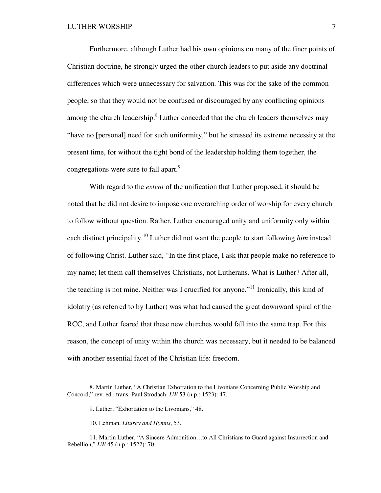Furthermore, although Luther had his own opinions on many of the finer points of Christian doctrine, he strongly urged the other church leaders to put aside any doctrinal differences which were unnecessary for salvation*.* This was for the sake of the common people, so that they would not be confused or discouraged by any conflicting opinions among the church leadership.<sup>8</sup> Luther conceded that the church leaders themselves may "have no [personal] need for such uniformity," but he stressed its extreme necessity at the present time, for without the tight bond of the leadership holding them together, the congregations were sure to fall apart.<sup>9</sup>

With regard to the *extent* of the unification that Luther proposed, it should be noted that he did not desire to impose one overarching order of worship for every church to follow without question. Rather, Luther encouraged unity and uniformity only within each distinct principality.<sup>10</sup> Luther did not want the people to start following *him* instead of following Christ. Luther said, "In the first place, I ask that people make no reference to my name; let them call themselves Christians, not Lutherans. What is Luther? After all, the teaching is not mine. Neither was I crucified for anyone."<sup>11</sup> Ironically, this kind of idolatry (as referred to by Luther) was what had caused the great downward spiral of the RCC, and Luther feared that these new churches would fall into the same trap. For this reason, the concept of unity within the church was necessary, but it needed to be balanced with another essential facet of the Christian life: freedom.

<sup>8.</sup> Martin Luther, "A Christian Exhortation to the Livonians Concerning Public Worship and Concord," rev. ed., trans. Paul Strodach, *LW* 53 (n.p.: 1523): 47.

<sup>9.</sup> Luther, "Exhortation to the Livonians," 48.

<sup>10.</sup> Lehman, *Liturgy and Hymns*, 53.

<sup>11.</sup> Martin Luther, "A Sincere Admonition…to All Christians to Guard against Insurrection and Rebellion," *LW* 45 (n.p.: 1522): 70.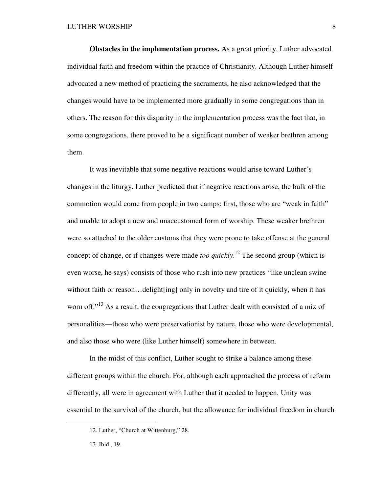**Obstacles in the implementation process.** As a great priority, Luther advocated individual faith and freedom within the practice of Christianity. Although Luther himself advocated a new method of practicing the sacraments, he also acknowledged that the changes would have to be implemented more gradually in some congregations than in others. The reason for this disparity in the implementation process was the fact that, in some congregations, there proved to be a significant number of weaker brethren among them.

It was inevitable that some negative reactions would arise toward Luther's changes in the liturgy. Luther predicted that if negative reactions arose, the bulk of the commotion would come from people in two camps: first, those who are "weak in faith" and unable to adopt a new and unaccustomed form of worship. These weaker brethren were so attached to the older customs that they were prone to take offense at the general concept of change, or if changes were made *too quickly*. <sup>12</sup> The second group (which is even worse, he says) consists of those who rush into new practices "like unclean swine without faith or reason…delight[ing] only in novelty and tire of it quickly, when it has worn off."<sup>13</sup> As a result, the congregations that Luther dealt with consisted of a mix of personalities—those who were preservationist by nature, those who were developmental, and also those who were (like Luther himself) somewhere in between.

In the midst of this conflict, Luther sought to strike a balance among these different groups within the church. For, although each approached the process of reform differently, all were in agreement with Luther that it needed to happen. Unity was essential to the survival of the church, but the allowance for individual freedom in church

<u>.</u>

<sup>12.</sup> Luther, "Church at Wittenburg," 28.

<sup>13.</sup> Ibid., 19.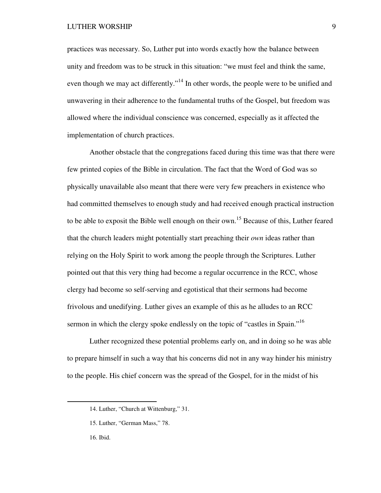### LUTHER WORSHIP 9

practices was necessary. So, Luther put into words exactly how the balance between unity and freedom was to be struck in this situation: "we must feel and think the same, even though we may act differently."<sup>14</sup> In other words, the people were to be unified and unwavering in their adherence to the fundamental truths of the Gospel, but freedom was allowed where the individual conscience was concerned, especially as it affected the implementation of church practices.

Another obstacle that the congregations faced during this time was that there were few printed copies of the Bible in circulation. The fact that the Word of God was so physically unavailable also meant that there were very few preachers in existence who had committed themselves to enough study and had received enough practical instruction to be able to exposit the Bible well enough on their own.<sup>15</sup> Because of this, Luther feared that the church leaders might potentially start preaching their *own* ideas rather than relying on the Holy Spirit to work among the people through the Scriptures. Luther pointed out that this very thing had become a regular occurrence in the RCC, whose clergy had become so self-serving and egotistical that their sermons had become frivolous and unedifying. Luther gives an example of this as he alludes to an RCC sermon in which the clergy spoke endlessly on the topic of "castles in Spain."<sup>16</sup>

Luther recognized these potential problems early on, and in doing so he was able to prepare himself in such a way that his concerns did not in any way hinder his ministry to the people. His chief concern was the spread of the Gospel, for in the midst of his

<sup>14.</sup> Luther, "Church at Wittenburg," 31.

<sup>15.</sup> Luther, "German Mass," 78.

<sup>16.</sup> Ibid.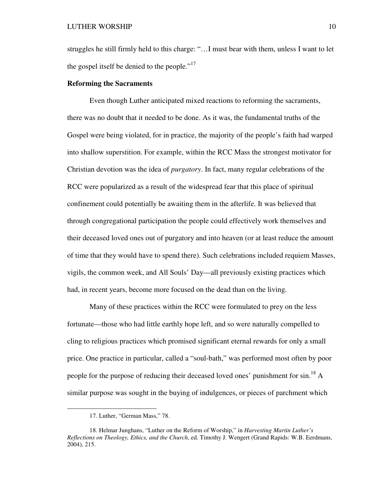struggles he still firmly held to this charge: "…I must bear with them, unless I want to let the gospel itself be denied to the people."<sup>17</sup>

# **Reforming the Sacraments**

Even though Luther anticipated mixed reactions to reforming the sacraments, there was no doubt that it needed to be done. As it was, the fundamental truths of the Gospel were being violated, for in practice, the majority of the people's faith had warped into shallow superstition. For example, within the RCC Mass the strongest motivator for Christian devotion was the idea of *purgatory*. In fact, many regular celebrations of the RCC were popularized as a result of the widespread fear that this place of spiritual confinement could potentially be awaiting them in the afterlife. It was believed that through congregational participation the people could effectively work themselves and their deceased loved ones out of purgatory and into heaven (or at least reduce the amount of time that they would have to spend there). Such celebrations included requiem Masses, vigils, the common week, and All Souls' Day—all previously existing practices which had, in recent years, become more focused on the dead than on the living.

Many of these practices within the RCC were formulated to prey on the less fortunate—those who had little earthly hope left, and so were naturally compelled to cling to religious practices which promised significant eternal rewards for only a small price. One practice in particular, called a "soul-bath," was performed most often by poor people for the purpose of reducing their deceased loved ones' punishment for  $\sin^{18} A$ similar purpose was sought in the buying of indulgences, or pieces of parchment which

<sup>17.</sup> Luther, "German Mass," 78.

<sup>18.</sup> Helmar Junghans, "Luther on the Reform of Worship," in *Harvesting Martin Luther's Reflections on Theology, Ethics, and the Church*, ed. Timothy J. Wengert (Grand Rapids: W.B. Eerdmans, 2004), 215.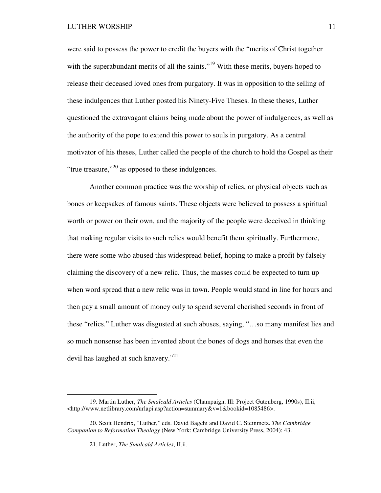were said to possess the power to credit the buyers with the "merits of Christ together with the superabundant merits of all the saints."<sup>19</sup> With these merits, buyers hoped to release their deceased loved ones from purgatory. It was in opposition to the selling of these indulgences that Luther posted his Ninety-Five Theses. In these theses, Luther questioned the extravagant claims being made about the power of indulgences, as well as the authority of the pope to extend this power to souls in purgatory. As a central motivator of his theses, Luther called the people of the church to hold the Gospel as their "true treasure,"<sup>20</sup> as opposed to these indulgences.

Another common practice was the worship of relics, or physical objects such as bones or keepsakes of famous saints. These objects were believed to possess a spiritual worth or power on their own, and the majority of the people were deceived in thinking that making regular visits to such relics would benefit them spiritually. Furthermore, there were some who abused this widespread belief, hoping to make a profit by falsely claiming the discovery of a new relic. Thus, the masses could be expected to turn up when word spread that a new relic was in town. People would stand in line for hours and then pay a small amount of money only to spend several cherished seconds in front of these "relics." Luther was disgusted at such abuses, saying, "…so many manifest lies and so much nonsense has been invented about the bones of dogs and horses that even the devil has laughed at such knavery."<sup>21</sup>

<sup>19.</sup> Martin Luther, *The Smalcald Articles* (Champaign, Ill: Project Gutenberg, 1990s), II.ii, <http://www.netlibrary.com/urlapi.asp?action=summary&v=1&bookid=1085486>.

<sup>20.</sup> Scott Hendrix, "Luther," eds. David Bagchi and David C. Steinmetz. *The Cambridge Companion to Reformation Theology* (New York: Cambridge University Press, 2004): 43.

<sup>21.</sup> Luther, *The Smalcald Articles*, II.ii.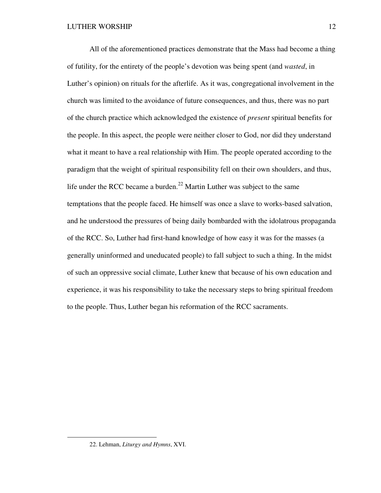All of the aforementioned practices demonstrate that the Mass had become a thing of futility, for the entirety of the people's devotion was being spent (and *wasted*, in Luther's opinion) on rituals for the afterlife. As it was, congregational involvement in the church was limited to the avoidance of future consequences, and thus, there was no part of the church practice which acknowledged the existence of *present* spiritual benefits for the people. In this aspect, the people were neither closer to God, nor did they understand what it meant to have a real relationship with Him. The people operated according to the paradigm that the weight of spiritual responsibility fell on their own shoulders, and thus, life under the RCC became a burden.<sup>22</sup> Martin Luther was subject to the same temptations that the people faced. He himself was once a slave to works-based salvation, and he understood the pressures of being daily bombarded with the idolatrous propaganda of the RCC. So, Luther had first-hand knowledge of how easy it was for the masses (a generally uninformed and uneducated people) to fall subject to such a thing. In the midst of such an oppressive social climate, Luther knew that because of his own education and experience, it was his responsibility to take the necessary steps to bring spiritual freedom to the people. Thus, Luther began his reformation of the RCC sacraments.

<u>.</u>

<sup>22.</sup> Lehman, *Liturgy and Hymns*, XVI.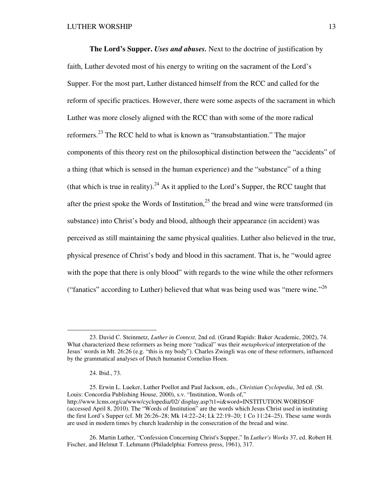**The Lord's Supper.** *Uses and abuses.* Next to the doctrine of justification by faith, Luther devoted most of his energy to writing on the sacrament of the Lord's Supper. For the most part, Luther distanced himself from the RCC and called for the reform of specific practices. However, there were some aspects of the sacrament in which Luther was more closely aligned with the RCC than with some of the more radical reformers.<sup>23</sup> The RCC held to what is known as "transubstantiation." The major components of this theory rest on the philosophical distinction between the "accidents" of a thing (that which is sensed in the human experience) and the "substance" of a thing (that which is true in reality).<sup>24</sup> As it applied to the Lord's Supper, the RCC taught that after the priest spoke the Words of Institution,<sup>25</sup> the bread and wine were transformed (in substance) into Christ's body and blood, although their appearance (in accident) was perceived as still maintaining the same physical qualities. Luther also believed in the true, physical presence of Christ's body and blood in this sacrament. That is, he "would agree with the pope that there is only blood" with regards to the wine while the other reformers ("fanatics" according to Luther) believed that what was being used was "mere wine."<sup>26</sup>

<sup>23.</sup> David C. Steinmetz, *Luther in Context*, 2nd ed. (Grand Rapids: Baker Academic, 2002), 74. What characterized these reformers as being more "radical" was their *metaphorical* interpretation of the Jesus' words in Mt. 26:26 (e.g. "this is my body"). Charles Zwingli was one of these reformers, influenced by the grammatical analyses of Dutch humanist Cornelius Hoen.

<sup>24.</sup> Ibid., 73.

<sup>25.</sup> Erwin L. Lueker, Luther Poellot and Paul Jackson, eds., *Christian Cyclopedia*, 3rd ed. (St. Louis: Concordia Publishing House, 2000), s.v. "Institution, Words of," http://www.lcms.org/ca/www/cyclopedia/02/ display.asp?t1=i&word=INSTITUTION.WORDSOF (accessed April 8, 2010). The "Words of Institution" are the words which Jesus Christ used in instituting the first Lord's Supper (cf. Mt 26:26–28; Mk 14:22–24; Lk 22:19–20; 1 Co 11:24–25). These same words are used in modern times by church leadership in the consecration of the bread and wine.

<sup>26.</sup> Martin Luther, "Confession Concerning Christ's Supper," In *Luther's Works* 37, ed. Robert H. Fischer, and Helmut T. Lehmann (Philadelphia: Fortress press, 1961), 317.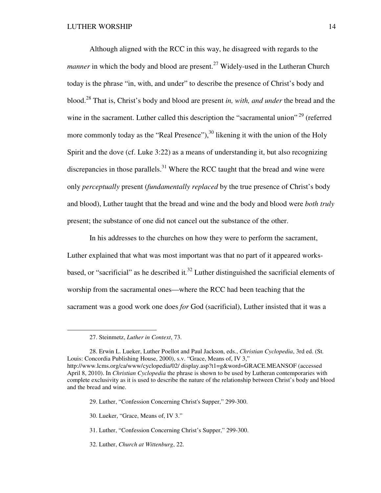Although aligned with the RCC in this way, he disagreed with regards to the *manner* in which the body and blood are present.<sup>27</sup> Widely-used in the Lutheran Church today is the phrase "in, with, and under" to describe the presence of Christ's body and blood.<sup>28</sup> That is, Christ's body and blood are present *in, with, and under* the bread and the wine in the sacrament. Luther called this description the "sacramental union"<sup>29</sup> (referred more commonly today as the "Real Presence"),  $30$  likening it with the union of the Holy Spirit and the dove (cf. Luke 3:22) as a means of understanding it, but also recognizing discrepancies in those parallels.<sup>31</sup> Where the RCC taught that the bread and wine were only *perceptually* present (*fundamentally replaced* by the true presence of Christ's body and blood), Luther taught that the bread and wine and the body and blood were *both truly*  present; the substance of one did not cancel out the substance of the other.

In his addresses to the churches on how they were to perform the sacrament, Luther explained that what was most important was that no part of it appeared worksbased, or "sacrificial" as he described it*.* <sup>32</sup> Luther distinguished the sacrificial elements of worship from the sacramental ones—where the RCC had been teaching that the sacrament was a good work one does *for* God (sacrificial), Luther insisted that it was a

-

<sup>27.</sup> Steinmetz, *Luther in Context*, 73.

<sup>28.</sup> Erwin L. Lueker, Luther Poellot and Paul Jackson, eds., *Christian Cyclopedia*, 3rd ed. (St. Louis: Concordia Publishing House, 2000), s.v. "Grace, Means of, IV 3," http://www.lcms.org/ca/www/cyclopedia/02/ display.asp?t1=g&word=GRACE.MEANSOF (accessed April 8, 2010). In *Christian Cyclopedia* the phrase is shown to be used by Lutheran contemporaries with complete exclusivity as it is used to describe the nature of the relationship between Christ's body and blood and the bread and wine.

<sup>29.</sup> Luther, "Confession Concerning Christ's Supper," 299-300.

<sup>30.</sup> Lueker, "Grace, Means of, IV 3."

<sup>31.</sup> Luther, "Confession Concerning Christ's Supper," 299-300.

<sup>32.</sup> Luther, *Church at Wittenburg*, 22.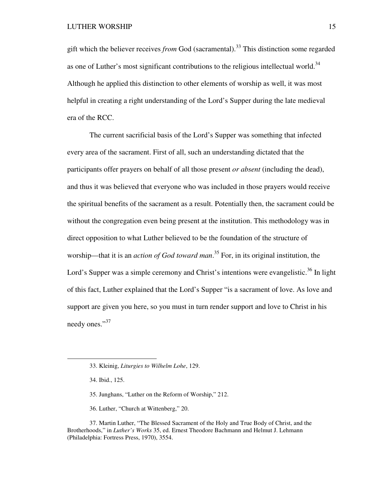gift which the believer receives *from* God (sacramental).<sup>33</sup> This distinction some regarded as one of Luther's most significant contributions to the religious intellectual world. $34$ Although he applied this distinction to other elements of worship as well, it was most helpful in creating a right understanding of the Lord's Supper during the late medieval era of the RCC.

The current sacrificial basis of the Lord's Supper was something that infected every area of the sacrament. First of all, such an understanding dictated that the participants offer prayers on behalf of all those present *or absent* (including the dead), and thus it was believed that everyone who was included in those prayers would receive the spiritual benefits of the sacrament as a result. Potentially then, the sacrament could be without the congregation even being present at the institution. This methodology was in direct opposition to what Luther believed to be the foundation of the structure of worship—that it is an *action of God toward man*. <sup>35</sup> For, in its original institution, the Lord's Supper was a simple ceremony and Christ's intentions were evangelistic.<sup>36</sup> In light of this fact, Luther explained that the Lord's Supper "is a sacrament of love. As love and support are given you here, so you must in turn render support and love to Christ in his needy ones."<sup>37</sup>

 $\overline{a}$ 

36. Luther, "Church at Wittenberg," 20.

37. Martin Luther, "The Blessed Sacrament of the Holy and True Body of Christ, and the Brotherhoods," in *Luther's Works* 35, ed. Ernest Theodore Bachmann and Helmut J. Lehmann (Philadelphia: Fortress Press, 1970), 3554.

<sup>33.</sup> Kleinig, *Liturgies to Wilhelm Lohe*, 129.

<sup>34.</sup> Ibid., 125.

<sup>35.</sup> Junghans, "Luther on the Reform of Worship," 212.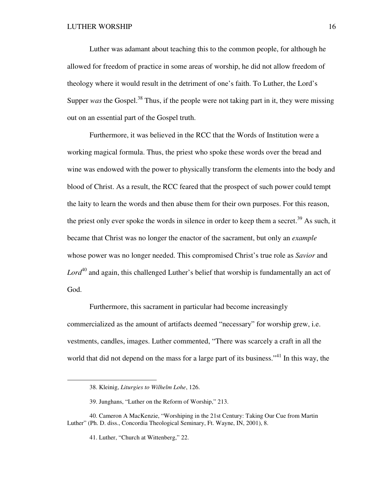Luther was adamant about teaching this to the common people, for although he allowed for freedom of practice in some areas of worship, he did not allow freedom of theology where it would result in the detriment of one's faith. To Luther, the Lord's Supper *was* the Gospel.<sup>38</sup> Thus, if the people were not taking part in it, they were missing out on an essential part of the Gospel truth.

Furthermore, it was believed in the RCC that the Words of Institution were a working magical formula. Thus, the priest who spoke these words over the bread and wine was endowed with the power to physically transform the elements into the body and blood of Christ. As a result, the RCC feared that the prospect of such power could tempt the laity to learn the words and then abuse them for their own purposes. For this reason, the priest only ever spoke the words in silence in order to keep them a secret.<sup>39</sup> As such, it became that Christ was no longer the enactor of the sacrament, but only an *example* whose power was no longer needed. This compromised Christ's true role as *Savior* and Lord<sup>40</sup> and again, this challenged Luther's belief that worship is fundamentally an act of God.

Furthermore, this sacrament in particular had become increasingly commercialized as the amount of artifacts deemed "necessary" for worship grew, i.e. vestments, candles, images. Luther commented, "There was scarcely a craft in all the world that did not depend on the mass for a large part of its business."<sup>41</sup> In this way, the

<sup>38.</sup> Kleinig, *Liturgies to Wilhelm Lohe*, 126.

<sup>39.</sup> Junghans, "Luther on the Reform of Worship," 213.

<sup>40.</sup> Cameron A MacKenzie, "Worshiping in the 21st Century: Taking Our Cue from Martin Luther" (Ph. D. diss., Concordia Theological Seminary, Ft. Wayne, IN, 2001), 8.

<sup>41.</sup> Luther, "Church at Wittenberg," 22.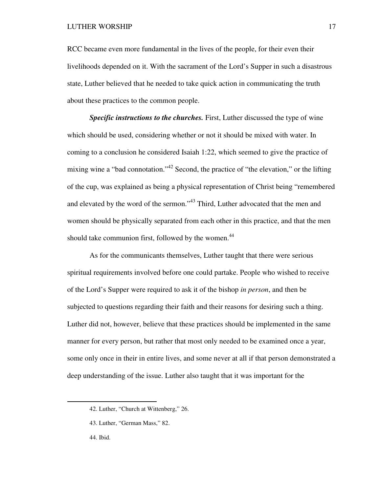#### LUTHER WORSHIP 17

RCC became even more fundamental in the lives of the people, for their even their livelihoods depended on it. With the sacrament of the Lord's Supper in such a disastrous state, Luther believed that he needed to take quick action in communicating the truth about these practices to the common people.

**Specific instructions to the churches.** First, Luther discussed the type of wine which should be used, considering whether or not it should be mixed with water. In coming to a conclusion he considered Isaiah 1:22, which seemed to give the practice of mixing wine a "bad connotation."<sup>42</sup> Second, the practice of "the elevation," or the lifting of the cup, was explained as being a physical representation of Christ being "remembered and elevated by the word of the sermon."<sup>43</sup> Third, Luther advocated that the men and women should be physically separated from each other in this practice, and that the men should take communion first, followed by the women.<sup>44</sup>

As for the communicants themselves, Luther taught that there were serious spiritual requirements involved before one could partake. People who wished to receive of the Lord's Supper were required to ask it of the bishop *in person*, and then be subjected to questions regarding their faith and their reasons for desiring such a thing. Luther did not, however, believe that these practices should be implemented in the same manner for every person, but rather that most only needed to be examined once a year, some only once in their in entire lives, and some never at all if that person demonstrated a deep understanding of the issue. Luther also taught that it was important for the

<sup>42.</sup> Luther, "Church at Wittenberg," 26.

<sup>43.</sup> Luther, "German Mass," 82.

<sup>44.</sup> Ibid.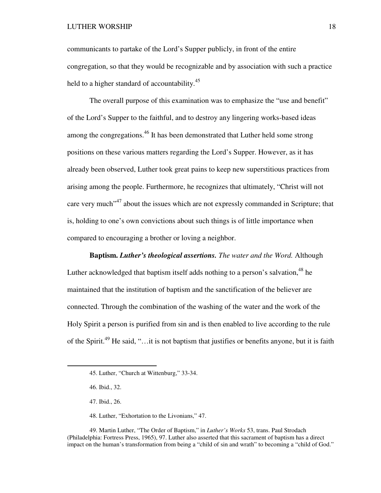communicants to partake of the Lord's Supper publicly, in front of the entire congregation, so that they would be recognizable and by association with such a practice held to a higher standard of accountability.<sup>45</sup>

The overall purpose of this examination was to emphasize the "use and benefit" of the Lord's Supper to the faithful, and to destroy any lingering works-based ideas among the congregations.<sup>46</sup> It has been demonstrated that Luther held some strong positions on these various matters regarding the Lord's Supper. However, as it has already been observed, Luther took great pains to keep new superstitious practices from arising among the people. Furthermore, he recognizes that ultimately, "Christ will not care very much<sup>",47</sup> about the issues which are not expressly commanded in Scripture; that is, holding to one's own convictions about such things is of little importance when compared to encouraging a brother or loving a neighbor.

**Baptism.** *Luther's theological assertions. The water and the Word.* Although Luther acknowledged that baptism itself adds nothing to a person's salvation,  $48$  he maintained that the institution of baptism and the sanctification of the believer are connected. Through the combination of the washing of the water and the work of the Holy Spirit a person is purified from sin and is then enabled to live according to the rule of the Spirit.<sup>49</sup> He said, "...it is not baptism that justifies or benefits anyone, but it is faith

<sup>45.</sup> Luther, "Church at Wittenburg," 33-34.

<sup>46.</sup> Ibid., 32.

<sup>47.</sup> Ibid., 26.

<sup>48.</sup> Luther, "Exhortation to the Livonians," 47.

<sup>49.</sup> Martin Luther, "The Order of Baptism," in *Luther's Works* 53, trans. Paul Strodach (Philadelphia: Fortress Press, 1965), 97. Luther also asserted that this sacrament of baptism has a direct impact on the human's transformation from being a "child of sin and wrath" to becoming a "child of God."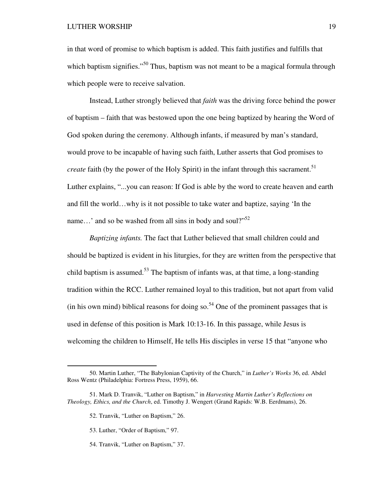in that word of promise to which baptism is added. This faith justifies and fulfills that which baptism signifies."<sup>50</sup> Thus, baptism was not meant to be a magical formula through which people were to receive salvation.

Instead, Luther strongly believed that *faith* was the driving force behind the power of baptism – faith that was bestowed upon the one being baptized by hearing the Word of God spoken during the ceremony. Although infants, if measured by man's standard, would prove to be incapable of having such faith, Luther asserts that God promises to *create* faith (by the power of the Holy Spirit) in the infant through this sacrament.<sup>51</sup> Luther explains, "...you can reason: If God is able by the word to create heaven and earth and fill the world…why is it not possible to take water and baptize, saying 'In the name...' and so be washed from all sins in body and soul?"<sup>52</sup>

*Baptizing infants.* The fact that Luther believed that small children could and should be baptized is evident in his liturgies, for they are written from the perspective that child baptism is assumed.<sup>53</sup> The baptism of infants was, at that time, a long-standing tradition within the RCC. Luther remained loyal to this tradition, but not apart from valid (in his own mind) biblical reasons for doing so.<sup>54</sup> One of the prominent passages that is used in defense of this position is Mark 10:13-16. In this passage, while Jesus is welcoming the children to Himself, He tells His disciples in verse 15 that "anyone who

-

54. Tranvik, "Luther on Baptism," 37.

<sup>50.</sup> Martin Luther, "The Babylonian Captivity of the Church," in *Luther's Works* 36, ed. Abdel Ross Wentz (Philadelphia: Fortress Press, 1959), 66.

<sup>51.</sup> Mark D. Tranvik, "Luther on Baptism," in *Harvesting Martin Luther's Reflections on Theology, Ethics, and the Church*, ed. Timothy J. Wengert (Grand Rapids: W.B. Eerdmans), 26.

<sup>52.</sup> Tranvik, "Luther on Baptism," 26.

<sup>53.</sup> Luther, "Order of Baptism," 97.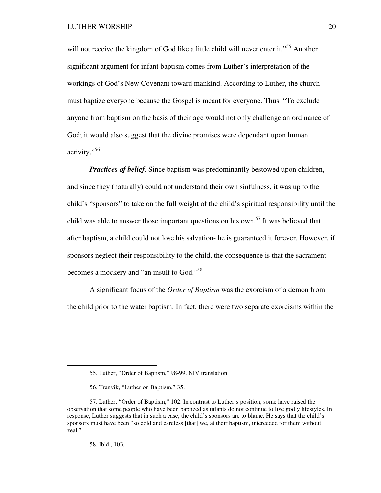will not receive the kingdom of God like a little child will never enter it."<sup>55</sup> Another significant argument for infant baptism comes from Luther's interpretation of the workings of God's New Covenant toward mankind. According to Luther, the church must baptize everyone because the Gospel is meant for everyone. Thus, "To exclude anyone from baptism on the basis of their age would not only challenge an ordinance of God; it would also suggest that the divine promises were dependant upon human activity."<sup>56</sup>

*Practices of belief.* Since baptism was predominantly bestowed upon children, and since they (naturally) could not understand their own sinfulness, it was up to the child's "sponsors" to take on the full weight of the child's spiritual responsibility until the child was able to answer those important questions on his own.<sup>57</sup> It was believed that after baptism, a child could not lose his salvation- he is guaranteed it forever. However, if sponsors neglect their responsibility to the child, the consequence is that the sacrament becomes a mockery and "an insult to God."<sup>58</sup>

A significant focus of the *Order of Baptism* was the exorcism of a demon from the child prior to the water baptism. In fact, there were two separate exorcisms within the

<sup>55.</sup> Luther, "Order of Baptism," 98-99. NIV translation.

<sup>56.</sup> Tranvik, "Luther on Baptism," 35.

<sup>57.</sup> Luther, "Order of Baptism," 102. In contrast to Luther's position, some have raised the observation that some people who have been baptized as infants do not continue to live godly lifestyles. In response, Luther suggests that in such a case, the child's sponsors are to blame. He says that the child's sponsors must have been "so cold and careless [that] we, at their baptism, interceded for them without zeal."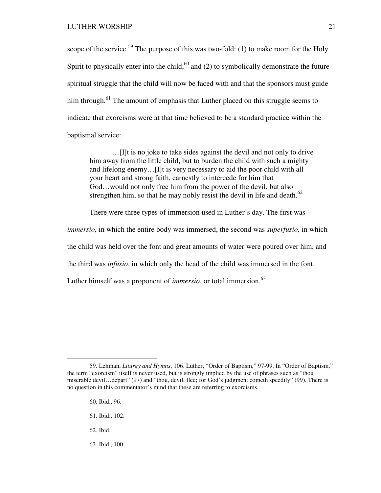scope of the service.<sup>59</sup> The purpose of this was two-fold: (1) to make room for the Holy Spirit to physically enter into the child,<sup>60</sup> and (2) to symbolically demonstrate the future spiritual struggle that the child will now be faced with and that the sponsors must guide him through.<sup>61</sup> The amount of emphasis that Luther placed on this struggle seems to indicate that exorcisms were at that time believed to be a standard practice within the baptismal service:

…[I]t is no joke to take sides against the devil and not only to drive him away from the little child, but to burden the child with such a mighty and lifelong enemy…[I]t is very necessary to aid the poor child with all your heart and strong faith, earnestly to intercede for him that God…would not only free him from the power of the devil, but also strengthen him, so that he may nobly resist the devil in life and death.<sup>62</sup>

There were three types of immersion used in Luther's day. The first was

*immersio,* in which the entire body was immersed, the second was *superfusio,* in which

the child was held over the font and great amounts of water were poured over him, and

the third was *infusio*, in which only the head of the child was immersed in the font.

Luther himself was a proponent of *immersio*, or total immersion.<sup>63</sup>

- 60. Ibid., 96.
- 61. Ibid., 102.
- 62. Ibid.

 $\overline{a}$ 

63. Ibid., 100.

<sup>59.</sup> Lehman, *Liturgy and Hymns*, 106. Luther, "Order of Baptism," 97-99. In "Order of Baptism," the term "exorcism" itself is never used, but is strongly implied by the use of phrases such as "thou miserable devil…depart" (97) and "thou, devil, flee; for God's judgment cometh speedily" (99). There is no question in this commentator's mind that these are referring to exorcisms.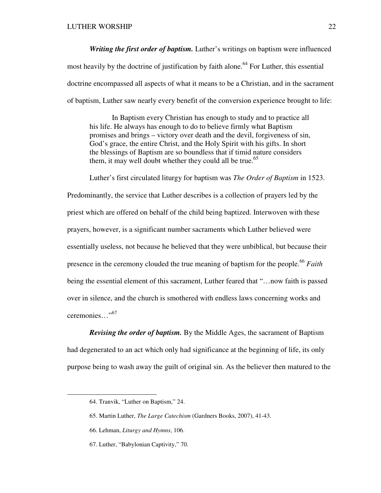*Writing the first order of baptism.* Luther's writings on baptism were influenced most heavily by the doctrine of justification by faith alone.<sup>64</sup> For Luther, this essential doctrine encompassed all aspects of what it means to be a Christian, and in the sacrament of baptism, Luther saw nearly every benefit of the conversion experience brought to life:

In Baptism every Christian has enough to study and to practice all his life. He always has enough to do to believe firmly what Baptism promises and brings – victory over death and the devil, forgiveness of sin, God's grace, the entire Christ, and the Holy Spirit with his gifts. In short the blessings of Baptism are so boundless that if timid nature considers them, it may well doubt whether they could all be true.<sup>65</sup>

Luther's first circulated liturgy for baptism was *The Order of Baptism* in 1523. Predominantly, the service that Luther describes is a collection of prayers led by the priest which are offered on behalf of the child being baptized. Interwoven with these prayers, however, is a significant number sacraments which Luther believed were essentially useless, not because he believed that they were unbiblical, but because their presence in the ceremony clouded the true meaning of baptism for the people.<sup>66</sup> *Faith* being the essential element of this sacrament, Luther feared that "…now faith is passed over in silence, and the church is smothered with endless laws concerning works and ceremonies..."<sup>67</sup>

*Revising the order of baptism.* By the Middle Ages, the sacrament of Baptism had degenerated to an act which only had significance at the beginning of life, its only purpose being to wash away the guilt of original sin. As the believer then matured to the

<sup>64.</sup> Tranvik, "Luther on Baptism," 24.

<sup>65.</sup> Martin Luther, *The Large Catechism* (Gardners Books, 2007), 41-43.

<sup>66.</sup> Lehman, *Liturgy and Hymns*, 106.

<sup>67.</sup> Luther, "Babylonian Captivity," 70.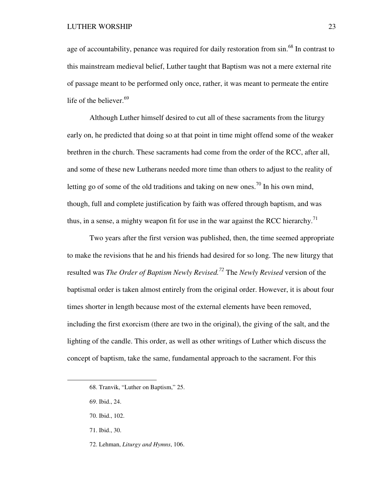age of accountability, penance was required for daily restoration from  $\sin^{68}$  In contrast to this mainstream medieval belief, Luther taught that Baptism was not a mere external rite of passage meant to be performed only once, rather, it was meant to permeate the entire life of the believer.<sup>69</sup>

Although Luther himself desired to cut all of these sacraments from the liturgy early on, he predicted that doing so at that point in time might offend some of the weaker brethren in the church. These sacraments had come from the order of the RCC, after all, and some of these new Lutherans needed more time than others to adjust to the reality of letting go of some of the old traditions and taking on new ones.<sup>70</sup> In his own mind, though, full and complete justification by faith was offered through baptism, and was thus, in a sense, a mighty weapon fit for use in the war against the RCC hierarchy.<sup>71</sup>

Two years after the first version was published, then, the time seemed appropriate to make the revisions that he and his friends had desired for so long. The new liturgy that resulted was *The Order of Baptism Newly Revised.<sup>72</sup>* The *Newly Revised* version of the baptismal order is taken almost entirely from the original order. However, it is about four times shorter in length because most of the external elements have been removed, including the first exorcism (there are two in the original), the giving of the salt, and the lighting of the candle. This order, as well as other writings of Luther which discuss the concept of baptism, take the same, fundamental approach to the sacrament. For this

 $\overline{a}$ 

72. Lehman, *Liturgy and Hymns*, 106.

<sup>68.</sup> Tranvik, "Luther on Baptism," 25.

<sup>69.</sup> Ibid., 24.

<sup>70.</sup> Ibid., 102.

<sup>71.</sup> Ibid., 30.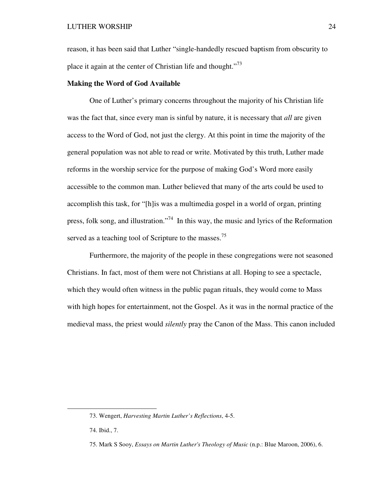reason, it has been said that Luther "single-handedly rescued baptism from obscurity to place it again at the center of Christian life and thought."<sup>73</sup>

# **Making the Word of God Available**

One of Luther's primary concerns throughout the majority of his Christian life was the fact that, since every man is sinful by nature, it is necessary that *all* are given access to the Word of God, not just the clergy. At this point in time the majority of the general population was not able to read or write. Motivated by this truth, Luther made reforms in the worship service for the purpose of making God's Word more easily accessible to the common man. Luther believed that many of the arts could be used to accomplish this task, for "[h]is was a multimedia gospel in a world of organ, printing press, folk song, and illustration."<sup>74</sup> In this way, the music and lyrics of the Reformation served as a teaching tool of Scripture to the masses.<sup>75</sup>

Furthermore, the majority of the people in these congregations were not seasoned Christians. In fact, most of them were not Christians at all. Hoping to see a spectacle, which they would often witness in the public pagan rituals, they would come to Mass with high hopes for entertainment, not the Gospel. As it was in the normal practice of the medieval mass, the priest would *silently* pray the Canon of the Mass. This canon included

<sup>73.</sup> Wengert, *Harvesting Martin Luther's Reflections*, 4-5.

<sup>74.</sup> Ibid., 7.

<sup>75.</sup> Mark S Sooy, *Essays on Martin Luther's Theology of Music* (n.p.: Blue Maroon, 2006), 6.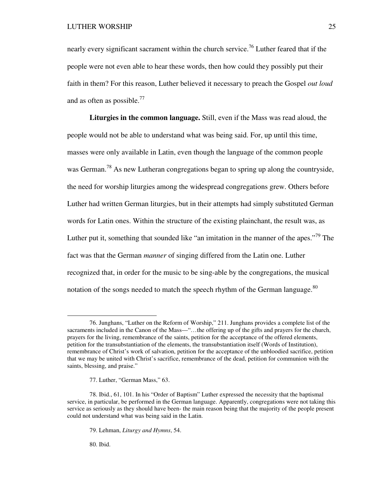nearly every significant sacrament within the church service.<sup>76</sup> Luther feared that if the people were not even able to hear these words, then how could they possibly put their faith in them? For this reason, Luther believed it necessary to preach the Gospel *out loud* and as often as possible. $^{77}$ 

**Liturgies in the common language.** Still, even if the Mass was read aloud, the people would not be able to understand what was being said. For, up until this time, masses were only available in Latin, even though the language of the common people was German.<sup>78</sup> As new Lutheran congregations began to spring up along the countryside, the need for worship liturgies among the widespread congregations grew. Others before Luther had written German liturgies, but in their attempts had simply substituted German words for Latin ones. Within the structure of the existing plainchant, the result was, as Luther put it, something that sounded like "an imitation in the manner of the apes."<sup>79</sup> The fact was that the German *manner* of singing differed from the Latin one. Luther recognized that, in order for the music to be sing-able by the congregations, the musical notation of the songs needed to match the speech rhythm of the German language. $80$ 

77. Luther, "German Mass," 63.

80. Ibid.

-

<sup>76.</sup> Junghans, "Luther on the Reform of Worship," 211. Junghans provides a complete list of the sacraments included in the Canon of the Mass—"...the offering up of the gifts and prayers for the church, prayers for the living, remembrance of the saints, petition for the acceptance of the offered elements, petition for the transubstantiation of the elements, the transubstantiation itself (Words of Institution), remembrance of Christ's work of salvation, petition for the acceptance of the unbloodied sacrifice, petition that we may be united with Christ's sacrifice, remembrance of the dead, petition for communion with the saints, blessing, and praise."

<sup>78.</sup> Ibid., 61, 101. In his "Order of Baptism" Luther expressed the necessity that the baptismal service, in particular, be performed in the German language. Apparently, congregations were not taking this service as seriously as they should have been- the main reason being that the majority of the people present could not understand what was being said in the Latin.

<sup>79.</sup> Lehman, *Liturgy and Hymns*, 54.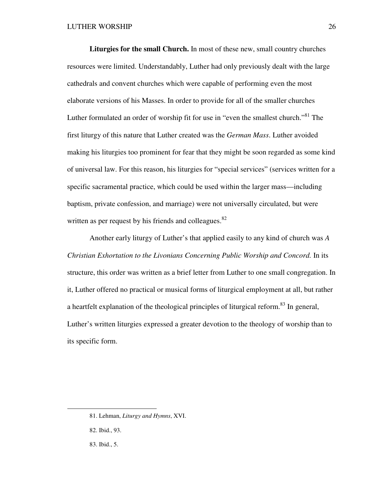**Liturgies for the small Church.** In most of these new, small country churches resources were limited. Understandably, Luther had only previously dealt with the large cathedrals and convent churches which were capable of performing even the most elaborate versions of his Masses. In order to provide for all of the smaller churches Luther formulated an order of worship fit for use in "even the smallest church."<sup>81</sup> The first liturgy of this nature that Luther created was the *German Mass*. Luther avoided making his liturgies too prominent for fear that they might be soon regarded as some kind of universal law. For this reason, his liturgies for "special services" (services written for a specific sacramental practice, which could be used within the larger mass—including baptism, private confession, and marriage) were not universally circulated, but were written as per request by his friends and colleagues.<sup>82</sup>

Another early liturgy of Luther's that applied easily to any kind of church was *A Christian Exhortation to the Livonians Concerning Public Worship and Concord.* In its structure, this order was written as a brief letter from Luther to one small congregation. In it, Luther offered no practical or musical forms of liturgical employment at all, but rather a heartfelt explanation of the theological principles of liturgical reform.<sup>83</sup> In general, Luther's written liturgies expressed a greater devotion to the theology of worship than to its specific form.

<sup>81.</sup> Lehman, *Liturgy and Hymns*, XVI.

<sup>82.</sup> Ibid., 93.

<sup>83.</sup> Ibid., 5.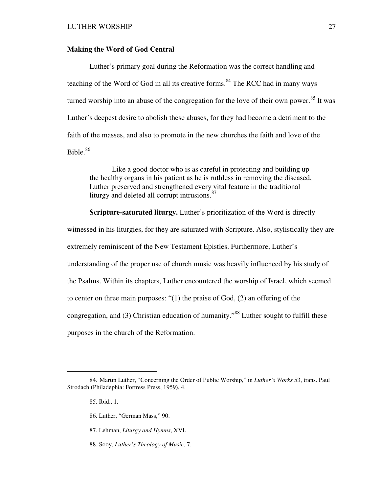# **Making the Word of God Central**

Luther's primary goal during the Reformation was the correct handling and teaching of the Word of God in all its creative forms.<sup>84</sup> The RCC had in many ways turned worship into an abuse of the congregation for the love of their own power.<sup>85</sup> It was Luther's deepest desire to abolish these abuses, for they had become a detriment to the faith of the masses, and also to promote in the new churches the faith and love of the Bible. $86$ 

Like a good doctor who is as careful in protecting and building up the healthy organs in his patient as he is ruthless in removing the diseased, Luther preserved and strengthened every vital feature in the traditional liturgy and deleted all corrupt intrusions.<sup>87</sup>

**Scripture-saturated liturgy.** Luther's prioritization of the Word is directly witnessed in his liturgies, for they are saturated with Scripture. Also, stylistically they are extremely reminiscent of the New Testament Epistles. Furthermore, Luther's understanding of the proper use of church music was heavily influenced by his study of the Psalms. Within its chapters, Luther encountered the worship of Israel, which seemed to center on three main purposes: "(1) the praise of God, (2) an offering of the congregation, and (3) Christian education of humanity.<sup> $38$ </sup> Luther sought to fulfill these purposes in the church of the Reformation.

<sup>84</sup>. Martin Luther, "Concerning the Order of Public Worship," in *Luther's Works* 53, trans. Paul Strodach (Philadephia: Fortress Press, 1959), 4.

<sup>85.</sup> Ibid., 1.

<sup>86.</sup> Luther, "German Mass," 90.

<sup>87.</sup> Lehman, *Liturgy and Hymns*, XVI.

<sup>88.</sup> Sooy, *Luther's Theology of Music*, 7.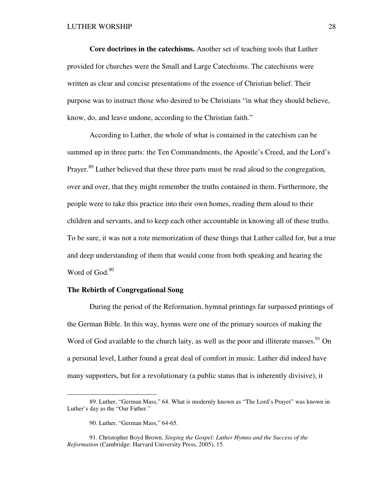**Core doctrines in the catechisms.** Another set of teaching tools that Luther provided for churches were the Small and Large Catechisms. The catechisms were written as clear and concise presentations of the essence of Christian belief. Their purpose was to instruct those who desired to be Christians "in what they should believe, know, do, and leave undone, according to the Christian faith."

According to Luther, the whole of what is contained in the catechism can be summed up in three parts: the Ten Commandments, the Apostle's Creed, and the Lord's Prayer.<sup>89</sup> Luther believed that these three parts must be read aloud to the congregation, over and over, that they might remember the truths contained in them. Furthermore, the people were to take this practice into their own homes, reading them aloud to their children and servants, and to keep each other accountable in knowing all of these truths. To be sure, it was not a rote memorization of these things that Luther called for, but a true and deep understanding of them that would come from both speaking and hearing the Word of God.<sup>90</sup>

# **The Rebirth of Congregational Song**

During the period of the Reformation, hymnal printings far surpassed printings of the German Bible. In this way, hymns were one of the primary sources of making the Word of God available to the church laity, as well as the poor and illiterate masses.<sup>91</sup> On a personal level, Luther found a great deal of comfort in music. Luther did indeed have many supporters, but for a revolutionary (a public status that is inherently divisive), it

<sup>89.</sup> Luther, "German Mass," 64. What is modernly known as "The Lord's Prayer" was known in Luther's day as the "Our Father."

<sup>90.</sup> Luther, "German Mass," 64-65.

<sup>91.</sup> Christopher Boyd Brown, *Singing the Gospel: Luther Hymns and the Success of the Reformation* (Cambridge: Harvard University Press, 2005), 15.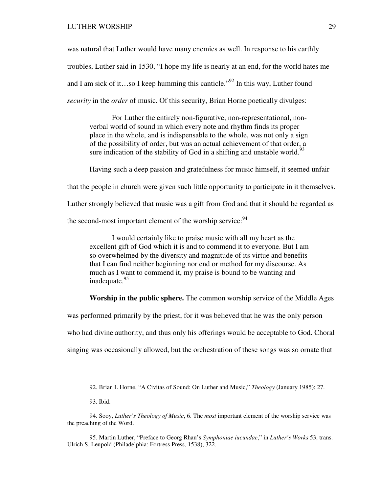LUTHER WORSHIP 29

was natural that Luther would have many enemies as well. In response to his earthly troubles, Luther said in 1530, "I hope my life is nearly at an end, for the world hates me and I am sick of it…so I keep humming this canticle.<sup>"92</sup> In this way, Luther found *security* in the *order* of music. Of this security, Brian Horne poetically divulges:

For Luther the entirely non-figurative, non-representational, nonverbal world of sound in which every note and rhythm finds its proper place in the whole, and is indispensable to the whole, was not only a sign of the possibility of order, but was an actual achievement of that order, a sure indication of the stability of God in a shifting and unstable world.<sup>93</sup>

Having such a deep passion and gratefulness for music himself, it seemed unfair that the people in church were given such little opportunity to participate in it themselves. Luther strongly believed that music was a gift from God and that it should be regarded as the second-most important element of the worship service:  $94$ 

I would certainly like to praise music with all my heart as the excellent gift of God which it is and to commend it to everyone. But I am so overwhelmed by the diversity and magnitude of its virtue and benefits that I can find neither beginning nor end or method for my discourse. As much as I want to commend it, my praise is bound to be wanting and inadequate.<sup>95</sup>

**Worship in the public sphere.** The common worship service of the Middle Ages

was performed primarily by the priest, for it was believed that he was the only person

who had divine authority, and thus only his offerings would be acceptable to God. Choral

singing was occasionally allowed, but the orchestration of these songs was so ornate that

<sup>92.</sup> Brian L Horne, "A Civitas of Sound: On Luther and Music," *Theology* (January 1985): 27.

<sup>93.</sup> Ibid.

<sup>94.</sup> Sooy, *Luther's Theology of Music*, 6. The *most* important element of the worship service was the preaching of the Word.

<sup>95.</sup> Martin Luther, "Preface to Georg Rhau's *Symphoniae iucundae*," in *Luther's Works* 53, trans. Ulrich S. Leupold (Philadelphia: Fortress Press, 1538), 322.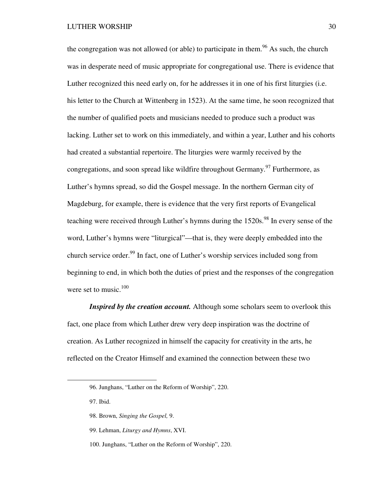the congregation was not allowed (or able) to participate in them.<sup>96</sup> As such, the church was in desperate need of music appropriate for congregational use. There is evidence that Luther recognized this need early on, for he addresses it in one of his first liturgies (i.e. his letter to the Church at Wittenberg in 1523). At the same time, he soon recognized that the number of qualified poets and musicians needed to produce such a product was lacking. Luther set to work on this immediately, and within a year, Luther and his cohorts had created a substantial repertoire. The liturgies were warmly received by the congregations, and soon spread like wildfire throughout Germany.<sup>97</sup> Furthermore, as Luther's hymns spread, so did the Gospel message. In the northern German city of Magdeburg, for example, there is evidence that the very first reports of Evangelical teaching were received through Luther's hymns during the 1520s.<sup>98</sup> In every sense of the word, Luther's hymns were "liturgical"—that is, they were deeply embedded into the church service order.<sup>99</sup> In fact, one of Luther's worship services included song from beginning to end, in which both the duties of priest and the responses of the congregation were set to music. $100$ 

*Inspired by the creation account.* Although some scholars seem to overlook this fact, one place from which Luther drew very deep inspiration was the doctrine of creation. As Luther recognized in himself the capacity for creativity in the arts, he reflected on the Creator Himself and examined the connection between these two

97. Ibid.

- 98. Brown, *Singing the Gospel,* 9.
- 99. Lehman, *Liturgy and Hymns*, XVI.
- 100. Junghans, "Luther on the Reform of Worship", 220.

<sup>96.</sup> Junghans, "Luther on the Reform of Worship", 220.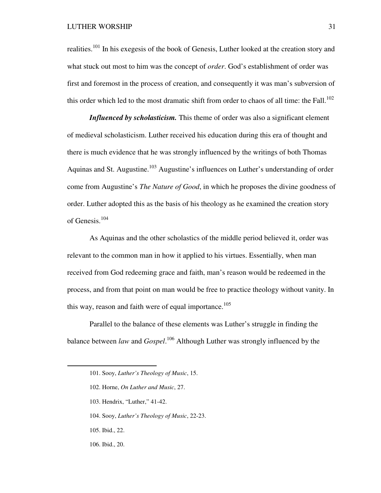## LUTHER WORSHIP 31

realities.<sup>101</sup> In his exegesis of the book of Genesis, Luther looked at the creation story and what stuck out most to him was the concept of *order*. God's establishment of order was first and foremost in the process of creation, and consequently it was man's subversion of this order which led to the most dramatic shift from order to chaos of all time: the Fall.<sup>102</sup>

*Influenced by scholasticism.* This theme of order was also a significant element of medieval scholasticism. Luther received his education during this era of thought and there is much evidence that he was strongly influenced by the writings of both Thomas Aquinas and St. Augustine.<sup>103</sup> Augustine's influences on Luther's understanding of order come from Augustine's *The Nature of Good*, in which he proposes the divine goodness of order. Luther adopted this as the basis of his theology as he examined the creation story of Genesis.<sup>104</sup>

As Aquinas and the other scholastics of the middle period believed it, order was relevant to the common man in how it applied to his virtues. Essentially, when man received from God redeeming grace and faith, man's reason would be redeemed in the process, and from that point on man would be free to practice theology without vanity. In this way, reason and faith were of equal importance.<sup>105</sup>

Parallel to the balance of these elements was Luther's struggle in finding the balance between *law* and *Gospel*. <sup>106</sup> Although Luther was strongly influenced by the

- 103. Hendrix, "Luther," 41-42.
- 104. Sooy, *Luther's Theology of Music*, 22-23.
- 105. Ibid., 22.

-

106. Ibid., 20.

<sup>101.</sup> Sooy, *Luther's Theology of Music*, 15.

<sup>102.</sup> Horne, *On Luther and Music*, 27.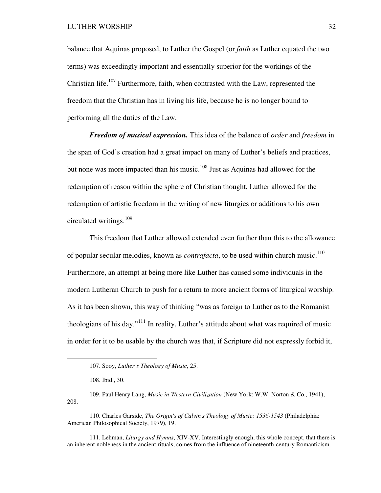balance that Aquinas proposed, to Luther the Gospel (or *faith* as Luther equated the two terms) was exceedingly important and essentially superior for the workings of the Christian life.<sup>107</sup> Furthermore, faith, when contrasted with the Law, represented the freedom that the Christian has in living his life, because he is no longer bound to performing all the duties of the Law.

*Freedom of musical expression.* This idea of the balance of *order* and *freedom* in the span of God's creation had a great impact on many of Luther's beliefs and practices, but none was more impacted than his music.<sup>108</sup> Just as Aquinas had allowed for the redemption of reason within the sphere of Christian thought, Luther allowed for the redemption of artistic freedom in the writing of new liturgies or additions to his own circulated writings.<sup>109</sup>

This freedom that Luther allowed extended even further than this to the allowance of popular secular melodies, known as *contrafacta*, to be used within church music.<sup>110</sup> Furthermore, an attempt at being more like Luther has caused some individuals in the modern Lutheran Church to push for a return to more ancient forms of liturgical worship. As it has been shown, this way of thinking "was as foreign to Luther as to the Romanist theologians of his day."<sup>111</sup> In reality, Luther's attitude about what was required of music in order for it to be usable by the church was that, if Scripture did not expressly forbid it,

 $\overline{a}$ 

109. Paul Henry Lang, *Music in Western Civilization* (New York: W.W. Norton & Co., 1941), 208.

111. Lehman, *Liturgy and Hymns*, XIV-XV. Interestingly enough, this whole concept, that there is an inherent nobleness in the ancient rituals, comes from the influence of nineteenth-century Romanticism.

<sup>107.</sup> Sooy, *Luther's Theology of Music*, 25.

<sup>108.</sup> Ibid., 30.

<sup>110.</sup> Charles Garside, *The Origin's of Calvin's Theology of Music: 1536-1543* (Philadelphia: American Philosophical Society, 1979), 19.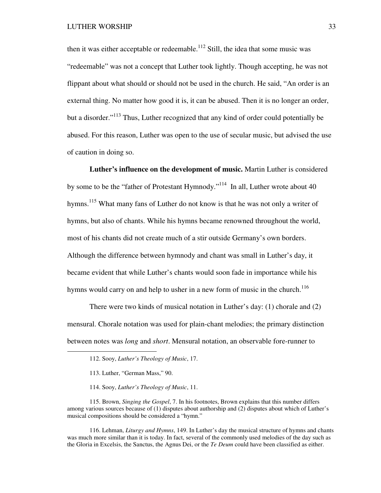then it was either acceptable or redeemable.<sup>112</sup> Still, the idea that some music was "redeemable" was not a concept that Luther took lightly. Though accepting, he was not flippant about what should or should not be used in the church. He said, "An order is an external thing. No matter how good it is, it can be abused. Then it is no longer an order, but a disorder."<sup>113</sup> Thus, Luther recognized that any kind of order could potentially be abused. For this reason, Luther was open to the use of secular music, but advised the use of caution in doing so.

**Luther's influence on the development of music.** Martin Luther is considered by some to be the "father of Protestant Hymnody."<sup>114</sup> In all, Luther wrote about 40 hymns.<sup>115</sup> What many fans of Luther do not know is that he was not only a writer of hymns, but also of chants. While his hymns became renowned throughout the world, most of his chants did not create much of a stir outside Germany's own borders. Although the difference between hymnody and chant was small in Luther's day, it became evident that while Luther's chants would soon fade in importance while his hymns would carry on and help to usher in a new form of music in the church.<sup>116</sup>

There were two kinds of musical notation in Luther's day: (1) chorale and (2) mensural. Chorale notation was used for plain-chant melodies; the primary distinction between notes was *long* and *short*. Mensural notation, an observable fore-runner to

 $\overline{a}$ 

115. Brown, *Singing the Gospel*, 7. In his footnotes, Brown explains that this number differs among various sources because of (1) disputes about authorship and (2) disputes about which of Luther's musical compositions should be considered a "hymn."

116. Lehman, *Liturgy and Hymns*, 149. In Luther's day the musical structure of hymns and chants was much more similar than it is today. In fact, several of the commonly used melodies of the day such as the Gloria in Excelsis, the Sanctus, the Agnus Dei, or the *Te Deum* could have been classified as either.

<sup>112.</sup> Sooy, *Luther's Theology of Music*, 17.

<sup>113.</sup> Luther, "German Mass," 90.

<sup>114.</sup> Sooy, *Luther's Theology of Music*, 11.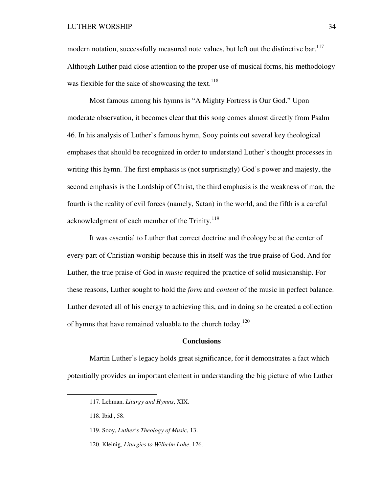modern notation, successfully measured note values, but left out the distinctive bar.<sup>117</sup> Although Luther paid close attention to the proper use of musical forms, his methodology was flexible for the sake of showcasing the text.  $118$ 

Most famous among his hymns is "A Mighty Fortress is Our God." Upon moderate observation, it becomes clear that this song comes almost directly from Psalm 46. In his analysis of Luther's famous hymn, Sooy points out several key theological emphases that should be recognized in order to understand Luther's thought processes in writing this hymn. The first emphasis is (not surprisingly) God's power and majesty, the second emphasis is the Lordship of Christ, the third emphasis is the weakness of man, the fourth is the reality of evil forces (namely, Satan) in the world, and the fifth is a careful acknowledgment of each member of the Trinity.<sup>119</sup>

It was essential to Luther that correct doctrine and theology be at the center of every part of Christian worship because this in itself was the true praise of God. And for Luther, the true praise of God in *music* required the practice of solid musicianship. For these reasons, Luther sought to hold the *form* and *content* of the music in perfect balance. Luther devoted all of his energy to achieving this, and in doing so he created a collection of hymns that have remained valuable to the church today.<sup>120</sup>

## **Conclusions**

Martin Luther's legacy holds great significance, for it demonstrates a fact which potentially provides an important element in understanding the big picture of who Luther

<u>.</u>

<sup>117.</sup> Lehman, *Liturgy and Hymns*, XIX.

<sup>118.</sup> Ibid., 58.

<sup>119.</sup> Sooy, *Luther's Theology of Music*, 13.

<sup>120.</sup> Kleinig, *Liturgies to Wilhelm Lohe*, 126.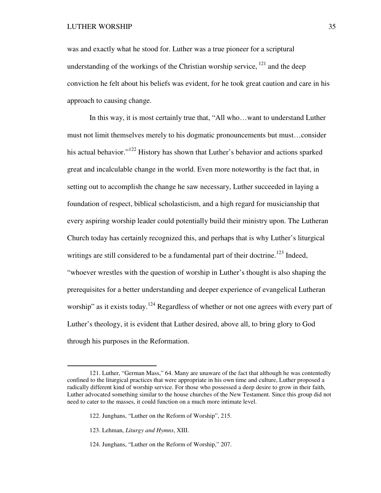was and exactly what he stood for. Luther was a true pioneer for a scriptural understanding of the workings of the Christian worship service,  $121$  and the deep conviction he felt about his beliefs was evident, for he took great caution and care in his approach to causing change.

In this way, it is most certainly true that, "All who…want to understand Luther must not limit themselves merely to his dogmatic pronouncements but must…consider his actual behavior."<sup>122</sup> History has shown that Luther's behavior and actions sparked great and incalculable change in the world. Even more noteworthy is the fact that, in setting out to accomplish the change he saw necessary, Luther succeeded in laying a foundation of respect, biblical scholasticism, and a high regard for musicianship that every aspiring worship leader could potentially build their ministry upon. The Lutheran Church today has certainly recognized this, and perhaps that is why Luther's liturgical writings are still considered to be a fundamental part of their doctrine.<sup>123</sup> Indeed, "whoever wrestles with the question of worship in Luther's thought is also shaping the prerequisites for a better understanding and deeper experience of evangelical Lutheran worship" as it exists today.<sup>124</sup> Regardless of whether or not one agrees with every part of Luther's theology, it is evident that Luther desired, above all, to bring glory to God through his purposes in the Reformation.

<sup>121.</sup> Luther, "German Mass," 64. Many are unaware of the fact that although he was contentedly confined to the liturgical practices that were appropriate in his own time and culture, Luther proposed a radically different kind of worship service. For those who possessed a deep desire to grow in their faith, Luther advocated something similar to the house churches of the New Testament. Since this group did not need to cater to the masses, it could function on a much more intimate level.

<sup>122.</sup> Junghans, "Luther on the Reform of Worship", 215.

<sup>123.</sup> Lehman, *Liturgy and Hymns*, XIII.

<sup>124.</sup> Junghans, "Luther on the Reform of Worship," 207.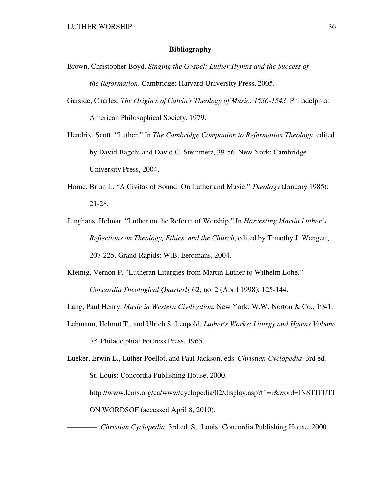# **Bibliography**

- Brown, Christopher Boyd. *Singing the Gospel: Luther Hymns and the Success of the Reformation*. Cambridge: Harvard University Press, 2005.
- Garside, Charles. *The Origin's of Calvin's Theology of Music: 1536-1543*. Philadelphia: American Philosophical Society, 1979.
- Hendrix, Scott. "Luther," In *The Cambridge Companion to Reformation Theology*, edited by David Bagchi and David C. Steinmetz, 39-56. New York: Cambridge University Press, 2004.
- Horne, Brian L. "A Civitas of Sound: On Luther and Music." *Theology* (January 1985): 21-28.
- Junghans, Helmar. "Luther on the Reform of Worship." In *Harvesting Martin Luther's Reflections on Theology, Ethics, and the Church*, edited by Timothy J. Wengert, 207-225. Grand Rapids: W.B. Eerdmans, 2004.
- Kleinig, Vernon P. "Lutheran Liturgies from Martin Luther to Wilhelm Lohe." *Concordia Theological Quarterly* 62, no. 2 (April 1998): 125-144.

Lang, Paul Henry. *Music in Western Civilization*. New York: W.W. Norton & Co., 1941.

- Lehmann, Helmut T., and Ulrich S. Leupold. *Luther's Works: Liturgy and Hymns Volume 53*. Philadelphia: Fortress Press, 1965.
- Lueker, Erwin L., Luther Poellot, and Paul Jackson, eds. *Christian Cyclopedia*. 3rd ed. St. Louis: Concordia Publishing House, 2000. http://www.lcms.org/ca/www/cyclopedia/02/display.asp?t1=i&word=INSTITUTI ON.WORDSOF (accessed April 8, 2010).

————. *Christian Cyclopedia*. 3rd ed. St. Louis: Concordia Publishing House, 2000.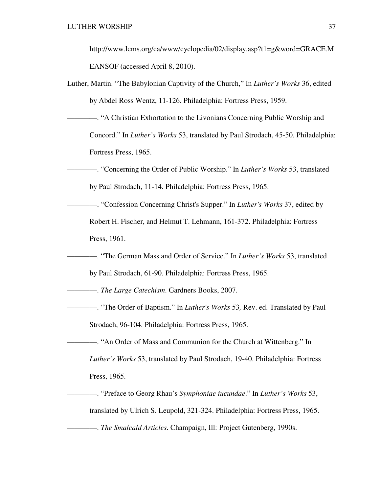http://www.lcms.org/ca/www/cyclopedia/02/display.asp?t1=g&word=GRACE.M EANSOF (accessed April 8, 2010).

- Luther, Martin. "The Babylonian Captivity of the Church," In *Luther's Works* 36, edited by Abdel Ross Wentz, 11-126. Philadelphia: Fortress Press, 1959.
- ————. "A Christian Exhortation to the Livonians Concerning Public Worship and Concord." In *Luther's Works* 53, translated by Paul Strodach, 45-50. Philadelphia: Fortress Press, 1965.
	- ————. "Concerning the Order of Public Worship." In *Luther's Works* 53, translated by Paul Strodach, 11-14. Philadelphia: Fortress Press, 1965.
		- ————. "Confession Concerning Christ's Supper." In *Luther's Works* 37, edited by Robert H. Fischer, and Helmut T. Lehmann, 161-372. Philadelphia: Fortress Press, 1961.
		- ————. "The German Mass and Order of Service." In *Luther's Works* 53, translated by Paul Strodach, 61-90. Philadelphia: Fortress Press, 1965.

————. *The Large Catechism*. Gardners Books, 2007.

- ————. "The Order of Baptism." In *Luther's Works* 53*,* Rev. ed. Translated by Paul Strodach, 96-104. Philadelphia: Fortress Press, 1965.
- ————. "An Order of Mass and Communion for the Church at Wittenberg." In

*Luther's Works* 53, translated by Paul Strodach, 19-40. Philadelphia: Fortress Press, 1965.

————. "Preface to Georg Rhau's *Symphoniae iucundae*." In *Luther's Works* 53, translated by Ulrich S. Leupold, 321-324. Philadelphia: Fortress Press, 1965. ————. *The Smalcald Articles*. Champaign, Ill: Project Gutenberg, 1990s.